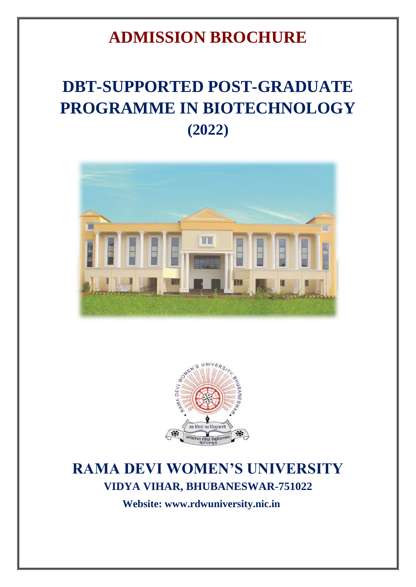## **ADMISSION BROCHURE**

# **DBT-SUPPORTED POST-GRADUATE PROGRAMME IN BIOTECHNOLOGY (2022)**





## **RAMA DEVI WOMEN'S UNIVERSITY VIDYA VIHAR, BHUBANESWAR-751022**

**Website: [www.rdwuniversity.nic.in](http://www.rdwuniversity.nic.in/)**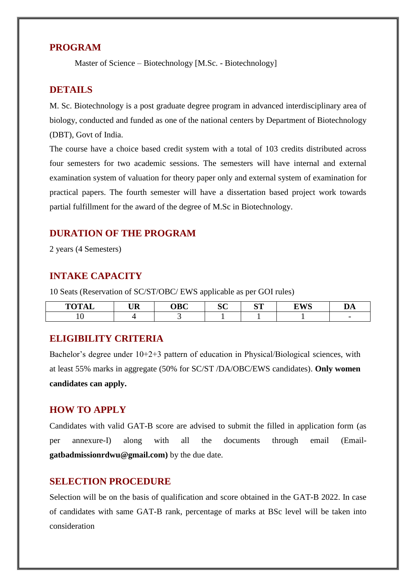#### **PROGRAM**

Master of Science – Biotechnology [M.Sc. - Biotechnology]

#### **DETAILS**

M. Sc. Biotechnology is a post graduate degree program in advanced interdisciplinary area of biology, conducted and funded as one of the national centers by Department of Biotechnology (DBT), Govt of India.

The course have a choice based credit system with a total of 103 credits distributed across four semesters for two academic sessions. The semesters will have internal and external examination system of valuation for theory paper only and external system of examination for practical papers. The fourth semester will have a dissertation based project work towards partial fulfillment for the award of the degree of M.Sc in Biotechnology.

#### **DURATION OF THE PROGRAM**

2 years (4 Semesters)

#### **INTAKE CAPACITY**

10 Seats (Reservation of SC/ST/OBC/ EWS applicable as per GOI rules)

| <b>TOTAL</b><br>$\mathbf{v}$ | UR | <b>OBC</b> | <b>SC</b> | $\alpha$ m<br>ັ | <b>LIMC</b><br>` ⊾ | $\overline{\phantom{a}}$<br>$\bm{\nu}$ |
|------------------------------|----|------------|-----------|-----------------|--------------------|----------------------------------------|
|                              |    |            |           |                 |                    | $\overline{\phantom{0}}$               |

#### **ELIGIBILITY CRITERIA**

Bachelor's degree under 10+2+3 pattern of education in Physical/Biological sciences, with at least 55% marks in aggregate (50% for SC/ST /DA/OBC/EWS candidates). **Only women candidates can apply.**

#### **HOW TO APPLY**

Candidates with valid GAT-B score are advised to submit the filled in application form (as per annexure-I) along with all the documents through email (Email**gatbadmissionrdwu@gmail.com)** by the due date.

#### **SELECTION PROCEDURE**

Selection will be on the basis of qualification and score obtained in the GAT-B 2022. In case of candidates with same GAT-B rank, percentage of marks at BSc level will be taken into consideration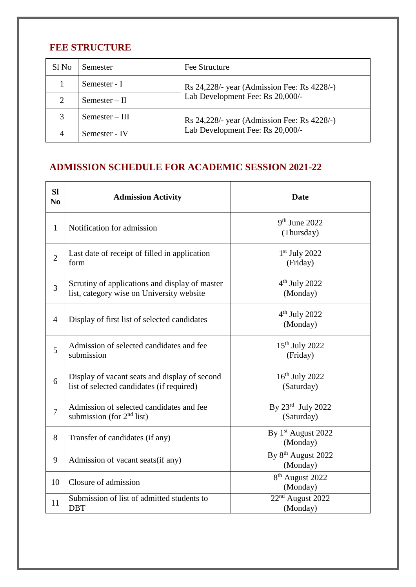### **FEE STRUCTURE**

| Sl <sub>No</sub> | Semester         | Fee Structure                                                                   |  |
|------------------|------------------|---------------------------------------------------------------------------------|--|
|                  | Semester - I     | Rs 24,228/- year (Admission Fee: Rs 4228/-)<br>Lab Development Fee: Rs 20,000/- |  |
| 2                | Semester – II    |                                                                                 |  |
| 3                | $Semester - III$ | Rs 24,228/- year (Admission Fee: Rs 4228/-)<br>Lab Development Fee: Rs 20,000/- |  |
| 4                | Semester - IV    |                                                                                 |  |

### **ADMISSION SCHEDULE FOR ACADEMIC SESSION 2021-22**

| <b>SI</b><br>N <sub>0</sub> | <b>Admission Activity</b>                                                                   | <b>Date</b>                                |
|-----------------------------|---------------------------------------------------------------------------------------------|--------------------------------------------|
| $\mathbf{1}$                | Notification for admission                                                                  | $9th$ June 2022<br>(Thursday)              |
| $\overline{2}$              | Last date of receipt of filled in application<br>form                                       | $1st$ July 2022<br>(Friday)                |
| 3                           | Scrutiny of applications and display of master<br>list, category wise on University website | $4th$ July 2022<br>(Monday)                |
| $\overline{4}$              | Display of first list of selected candidates                                                | $4th$ July 2022<br>(Monday)                |
| 5                           | Admission of selected candidates and fee<br>submission                                      | 15 <sup>th</sup> July 2022<br>(Friday)     |
| 6                           | Display of vacant seats and display of second<br>list of selected candidates (if required)  | $16th$ July 2022<br>(Saturday)             |
| $\overline{7}$              | Admission of selected candidates and fee<br>submission (for $2nd$ list)                     | By 23rd July 2022<br>(Saturday)            |
| 8                           | Transfer of candidates (if any)                                                             | By 1 <sup>st</sup> August 2022<br>(Monday) |
| 9                           | Admission of vacant seats (if any)                                                          | By 8 <sup>th</sup> August 2022<br>(Monday) |
| 10                          | Closure of admission                                                                        | 8 <sup>th</sup> August 2022<br>(Monday)    |
| 11                          | Submission of list of admitted students to<br><b>DBT</b>                                    | $22nd$ August 2022<br>(Monday)             |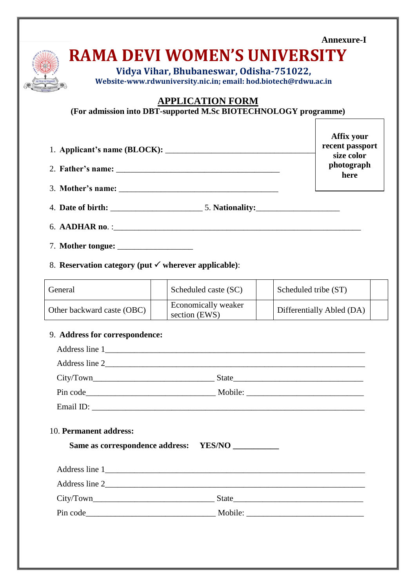|                                                                 | <b>RAMA DEVI WOMEN'S UNIVERSITY</b><br>Vidya Vihar, Bhubaneswar, Odisha-751022,            |                                             |
|-----------------------------------------------------------------|--------------------------------------------------------------------------------------------|---------------------------------------------|
|                                                                 | Website-www.rdwuniversity.nic.in; email: hod.biotech@rdwu.ac.in                            |                                             |
|                                                                 | <b>APPLICATION FORM</b><br>(For admission into DBT-supported M.Sc BIOTECHNOLOGY programme) |                                             |
|                                                                 |                                                                                            | Affix your<br>recent passport<br>size color |
|                                                                 |                                                                                            | photograph<br>here                          |
|                                                                 |                                                                                            |                                             |
|                                                                 |                                                                                            |                                             |
|                                                                 |                                                                                            |                                             |
|                                                                 |                                                                                            |                                             |
|                                                                 |                                                                                            |                                             |
| 8. Reservation category (put $\checkmark$ wherever applicable): |                                                                                            |                                             |
| General                                                         | Scheduled caste (SC)                                                                       | Scheduled tribe (ST)                        |
| Other backward caste (OBC)                                      | Economically weaker<br>section (EWS)                                                       | Differentially Abled (DA)                   |
| 9. Address for correspondence:                                  |                                                                                            |                                             |
|                                                                 |                                                                                            |                                             |
|                                                                 |                                                                                            |                                             |
|                                                                 |                                                                                            |                                             |
|                                                                 |                                                                                            |                                             |
|                                                                 |                                                                                            |                                             |
|                                                                 |                                                                                            |                                             |
| 10. Permanent address:                                          |                                                                                            |                                             |
|                                                                 | Same as correspondence address: YES/NO                                                     |                                             |
|                                                                 |                                                                                            |                                             |
|                                                                 |                                                                                            |                                             |
|                                                                 |                                                                                            |                                             |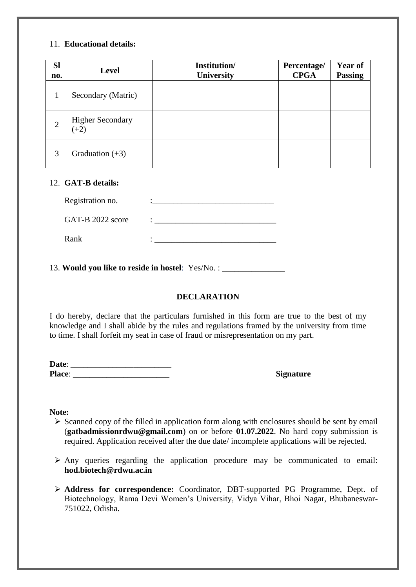#### 11. **Educational details:**

| <b>Sl</b><br>no. | <b>Level</b>                      | Institution/<br>University | Percentage/<br><b>CPGA</b> | <b>Year of</b><br><b>Passing</b> |
|------------------|-----------------------------------|----------------------------|----------------------------|----------------------------------|
|                  | Secondary (Matric)                |                            |                            |                                  |
| $\overline{2}$   | <b>Higher Secondary</b><br>$(+2)$ |                            |                            |                                  |
| 3                | Graduation $(+3)$                 |                            |                            |                                  |

#### 12. **GAT-B details:**

| Registration no. |   |
|------------------|---|
| GAT-B 2022 score | ٠ |
| Rank             |   |

13. **Would you like to reside in hostel**: Yes/No. : \_\_\_\_\_\_\_\_\_\_\_\_\_\_\_

#### **DECLARATION**

I do hereby, declare that the particulars furnished in this form are true to the best of my knowledge and I shall abide by the rules and regulations framed by the university from time to time. I shall forfeit my seat in case of fraud or misrepresentation on my part.

**Date**: \_\_\_\_\_\_\_\_\_\_\_\_\_\_\_\_\_\_\_\_\_\_\_\_ **Place**: \_\_\_\_\_\_\_\_\_\_\_\_\_\_\_\_\_\_\_\_\_\_\_ **Signature**

**Note:** 

- $\triangleright$  Scanned copy of the filled in application form along with enclosures should be sent by email (**gatbadmissionrdwu@gmail.com**) on or before **01.07.2022**. No hard copy submission is required. Application received after the due date/ incomplete applications will be rejected.
- $\triangleright$  Any queries regarding the application procedure may be communicated to email: **hod.biotech@rdwu.ac.in**
- **Address for correspondence:** Coordinator, DBT-supported PG Programme, Dept. of Biotechnology, Rama Devi Women's University, Vidya Vihar, Bhoi Nagar, Bhubaneswar-751022, Odisha.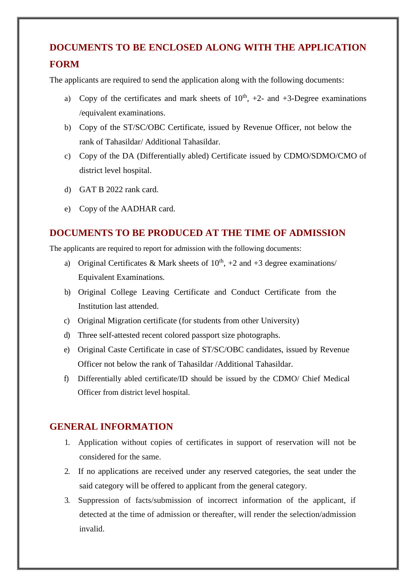## **DOCUMENTS TO BE ENCLOSED ALONG WITH THE APPLICATION FORM**

The applicants are required to send the application along with the following documents:

- a) Copy of the certificates and mark sheets of  $10^{th}$ ,  $+2$  and  $+3$ -Degree examinations /equivalent examinations.
- b) Copy of the ST/SC/OBC Certificate, issued by Revenue Officer, not below the rank of Tahasildar/ Additional Tahasildar.
- c) Copy of the DA (Differentially abled) Certificate issued by CDMO/SDMO/CMO of district level hospital.
- d) GAT B 2022 rank card.
- e) Copy of the AADHAR card.

#### **DOCUMENTS TO BE PRODUCED AT THE TIME OF ADMISSION**

The applicants are required to report for admission with the following documents:

- a) Original Certificates & Mark sheets of  $10^{th}$ ,  $+2$  and  $+3$  degree examinations/ Equivalent Examinations.
- b) Original College Leaving Certificate and Conduct Certificate from the Institution last attended.
- c) Original Migration certificate (for students from other University)
- d) Three self-attested recent colored passport size photographs.
- e) Original Caste Certificate in case of ST/SC/OBC candidates, issued by Revenue Officer not below the rank of Tahasildar /Additional Tahasildar.
- f) Differentially abled certificate/ID should be issued by the CDMO/ Chief Medical Officer from district level hospital.

#### **GENERAL INFORMATION**

- 1. Application without copies of certificates in support of reservation will not be considered for the same.
- 2. If no applications are received under any reserved categories, the seat under the said category will be offered to applicant from the general category.
- 3. Suppression of facts/submission of incorrect information of the applicant, if detected at the time of admission or thereafter, will render the selection/admission invalid.